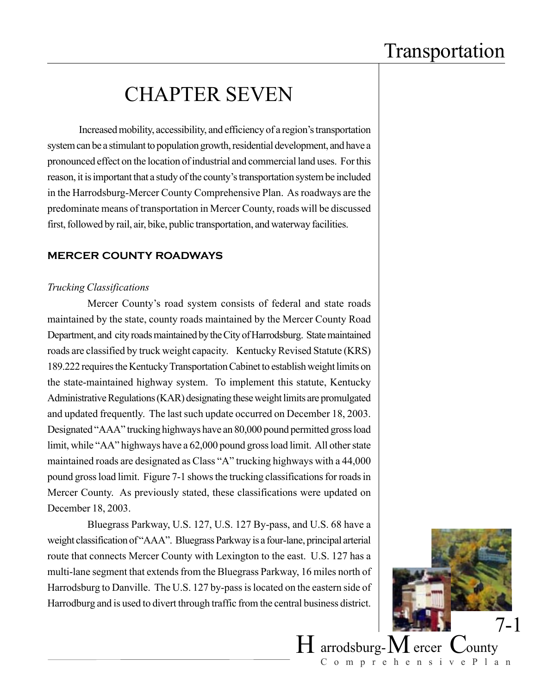## CHAPTER SEVEN

Increased mobility, accessibility, and efficiency of a region's transportation system can be a stimulant to population growth, residential development, and have a pronounced effect on the location of industrial and commercial land uses. For this reason, it is important that a study of the county's transportation system be included in the Harrodsburg-Mercer County Comprehensive Plan. As roadways are the predominate means of transportation in Mercer County, roads will be discussed first, followed by rail, air, bike, public transportation, and waterway facilities.

### **MERCER COUNTY ROADWAYS**

#### *Trucking Classifications*

Mercer County's road system consists of federal and state roads maintained by the state, county roads maintained by the Mercer County Road Department, and city roads maintained by the City of Harrodsburg. State maintained roads are classified by truck weight capacity. Kentucky Revised Statute (KRS) 189.222 requires the Kentucky Transportation Cabinet to establish weight limits on the state-maintained highway system. To implement this statute, Kentucky Administrative Regulations (KAR) designating these weight limits are promulgated and updated frequently. The last such update occurred on December 18, 2003. Designated "AAA" trucking highways have an 80,000 pound permitted gross load limit, while "AA" highways have a 62,000 pound gross load limit. All other state maintained roads are designated as Class "A" trucking highways with a 44,000 pound gross load limit. Figure 7-1 shows the trucking classifications for roads in Mercer County. As previously stated, these classifications were updated on December 18, 2003.

Bluegrass Parkway, U.S. 127, U.S. 127 By-pass, and U.S. 68 have a weight classification of "AAA". Bluegrass Parkway is a four-lane, principal arterial route that connects Mercer County with Lexington to the east. U.S. 127 has a multi-lane segment that extends from the Bluegrass Parkway, 16 miles north of Harrodsburg to Danville. The U.S. 127 by-pass is located on the eastern side of Harrodburg and is used to divert through traffic from the central business district.

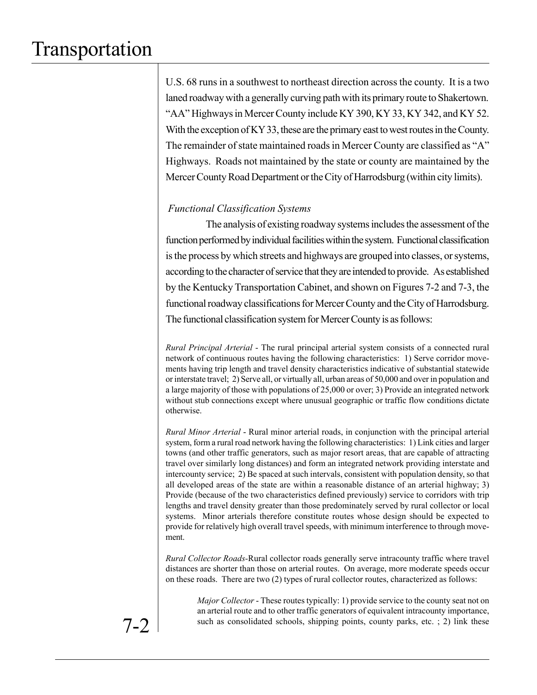U.S. 68 runs in a southwest to northeast direction across the county. It is a two laned roadway with a generally curving path with its primary route to Shakertown. "AA" Highways in Mercer County include KY 390, KY 33, KY 342, and KY 52. With the exception of KY 33, these are the primary east to west routes in the County. The remainder of state maintained roads in Mercer County are classified as "A" Highways. Roads not maintained by the state or county are maintained by the Mercer County Road Department or the City of Harrodsburg (within city limits).

### *Functional Classification Systems*

The analysis of existing roadway systems includes the assessment of the function performed by individual facilities within the system. Functional classification is the process by which streets and highways are grouped into classes, or systems, according to the character of service that they are intended to provide. As established by the Kentucky Transportation Cabinet, and shown on Figures 7-2 and 7-3, the functional roadway classifications for Mercer County and the City of Harrodsburg. The functional classification system for Mercer County is as follows:

*Rural Principal Arterial* - The rural principal arterial system consists of a connected rural network of continuous routes having the following characteristics: 1) Serve corridor movements having trip length and travel density characteristics indicative of substantial statewide or interstate travel; 2) Serve all, or virtually all, urban areas of 50,000 and over in population and a large majority of those with populations of 25,000 or over; 3) Provide an integrated network without stub connections except where unusual geographic or traffic flow conditions dictate otherwise.

*Rural Minor Arterial* - Rural minor arterial roads, in conjunction with the principal arterial system, form a rural road network having the following characteristics: 1) Link cities and larger towns (and other traffic generators, such as major resort areas, that are capable of attracting travel over similarly long distances) and form an integrated network providing interstate and intercounty service; 2) Be spaced at such intervals, consistent with population density, so that all developed areas of the state are within a reasonable distance of an arterial highway; 3) Provide (because of the two characteristics defined previously) service to corridors with trip lengths and travel density greater than those predominately served by rural collector or local systems. Minor arterials therefore constitute routes whose design should be expected to provide for relatively high overall travel speeds, with minimum interference to through movement.

*Rural Collector Roads-*Rural collector roads generally serve intracounty traffic where travel distances are shorter than those on arterial routes. On average, more moderate speeds occur on these roads. There are two (2) types of rural collector routes, characterized as follows:

*Major Collector* - These routes typically: 1) provide service to the county seat not on an arterial route and to other traffic generators of equivalent intracounty importance, such as consolidated schools, shipping points, county parks, etc. ; 2) link these

7-2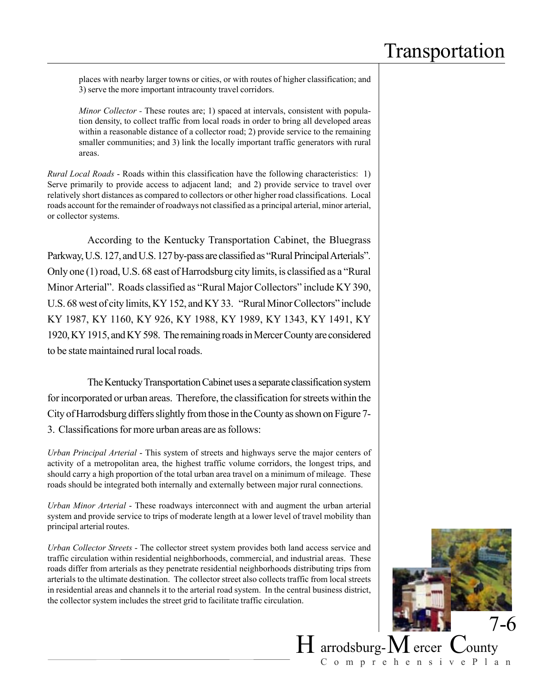places with nearby larger towns or cities, or with routes of higher classification; and 3) serve the more important intracounty travel corridors.

*Minor Collector -* These routes are; 1) spaced at intervals, consistent with population density, to collect traffic from local roads in order to bring all developed areas within a reasonable distance of a collector road; 2) provide service to the remaining smaller communities; and 3) link the locally important traffic generators with rural areas.

*Rural Local Roads* - Roads within this classification have the following characteristics: 1) Serve primarily to provide access to adjacent land; and 2) provide service to travel over relatively short distances as compared to collectors or other higher road classifications. Local roads account for the remainder of roadways not classified as a principal arterial, minor arterial, or collector systems.

According to the Kentucky Transportation Cabinet, the Bluegrass Parkway, U.S. 127, and U.S. 127 by-pass are classified as "Rural Principal Arterials". Only one (1) road, U.S. 68 east of Harrodsburg city limits, is classified as a "Rural Minor Arterial". Roads classified as "Rural Major Collectors" include KY 390, U.S. 68 west of city limits, KY 152, and KY 33. "Rural Minor Collectors" include KY 1987, KY 1160, KY 926, KY 1988, KY 1989, KY 1343, KY 1491, KY 1920, KY 1915, and KY 598. The remaining roads in Mercer County are considered to be state maintained rural local roads.

The Kentucky Transportation Cabinet uses a separate classification system for incorporated or urban areas. Therefore, the classification for streets within the City of Harrodsburg differs slightly from those in the County as shown on Figure 7- 3. Classifications for more urban areas are as follows:

*Urban Principal Arterial* - This system of streets and highways serve the major centers of activity of a metropolitan area, the highest traffic volume corridors, the longest trips, and should carry a high proportion of the total urban area travel on a minimum of mileage. These roads should be integrated both internally and externally between major rural connections.

*Urban Minor Arterial* - These roadways interconnect with and augment the urban arterial system and provide service to trips of moderate length at a lower level of travel mobility than principal arterial routes.

*Urban Collector Streets* - The collector street system provides both land access service and traffic circulation within residential neighborhoods, commercial, and industrial areas. These roads differ from arterials as they penetrate residential neighborhoods distributing trips from arterials to the ultimate destination. The collector street also collects traffic from local streets in residential areas and channels it to the arterial road system. In the central business district, the collector system includes the street grid to facilitate traffic circulation.

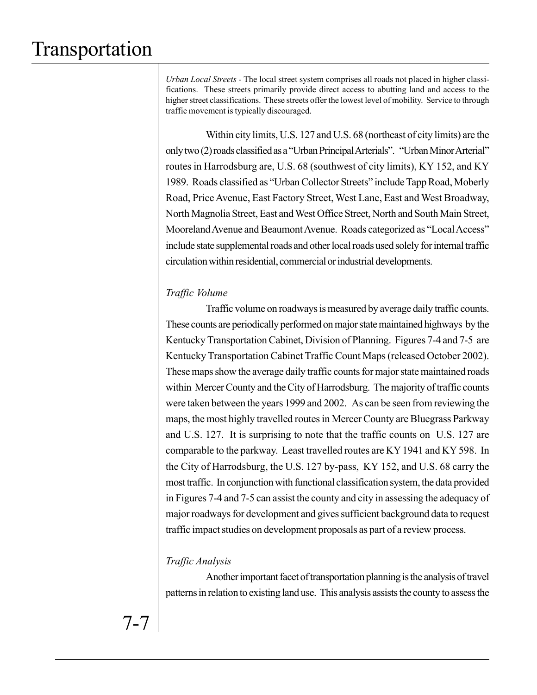*Urban Local Streets* - The local street system comprises all roads not placed in higher classifications. These streets primarily provide direct access to abutting land and access to the higher street classifications. These streets offer the lowest level of mobility. Service to through traffic movement is typically discouraged.

Within city limits, U.S. 127 and U.S. 68 (northeast of city limits) are the only two (2) roads classified as a "Urban Principal Arterials". "Urban Minor Arterial" routes in Harrodsburg are, U.S. 68 (southwest of city limits), KY 152, and KY 1989. Roads classified as "Urban Collector Streets" include Tapp Road, Moberly Road, Price Avenue, East Factory Street, West Lane, East and West Broadway, North Magnolia Street, East and West Office Street, North and South Main Street, Mooreland Avenue and Beaumont Avenue. Roads categorized as "Local Access" include state supplemental roads and other local roads used solely for internal traffic circulation within residential, commercial or industrial developments.

### *Traffic Volume*

Traffic volume on roadways is measured by average daily traffic counts. These counts are periodically performed on major state maintained highways by the Kentucky Transportation Cabinet, Division of Planning. Figures 7-4 and 7-5 are Kentucky Transportation Cabinet Traffic Count Maps (released October 2002). These maps show the average daily traffic counts for major state maintained roads within Mercer County and the City of Harrodsburg. The majority of traffic counts were taken between the years 1999 and 2002. As can be seen from reviewing the maps, the most highly travelled routes in Mercer County are Bluegrass Parkway and U.S. 127. It is surprising to note that the traffic counts on U.S. 127 are comparable to the parkway. Least travelled routes are KY 1941 and KY 598. In the City of Harrodsburg, the U.S. 127 by-pass, KY 152, and U.S. 68 carry the most traffic. In conjunction with functional classification system, the data provided in Figures 7-4 and 7-5 can assist the county and city in assessing the adequacy of major roadways for development and gives sufficient background data to request traffic impact studies on development proposals as part of a review process.

### *Traffic Analysis*

Another important facet of transportation planning is the analysis of travel patterns in relation to existing land use. This analysis assists the county to assess the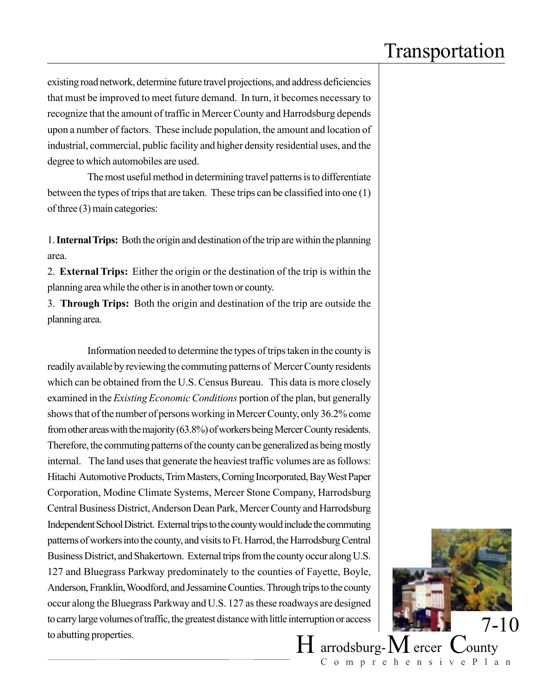existing road network, determine future travel projections, and address deficiencies that must be improved to meet future demand. In turn, it becomes necessary to recognize that the amount of traffic in Mercer County and Harrodsburg depends upon a number of factors. These include population, the amount and location of industrial, commercial, public facility and higher density residential uses, and the degree to which automobiles are used.

The most useful method in determining travel patterns is to differentiate between the types of trips that are taken. These trips can be classified into one (1) of three (3) main categories:

1. **Internal Trips:** Both the origin and destination of the trip are within the planning area.

2. **External Trips:** Either the origin or the destination of the trip is within the planning area while the other is in another town or county.

3. **Through Trips:** Both the origin and destination of the trip are outside the planning area.

Information needed to determine the types of trips taken in the county is readily available by reviewing the commuting patterns of Mercer County residents which can be obtained from the U.S. Census Bureau. This data is more closely examined in the *Existing Economic Conditions* portion of the plan, but generally shows that of the number of persons working in Mercer County, only 36.2% come from other areas with the majority (63.8%) of workers being Mercer County residents. Therefore, the commuting patterns of the county can be generalized as being mostly internal. The land uses that generate the heaviest traffic volumes are as follows: Hitachi Automotive Products, Trim Masters, Corning Incorporated, Bay West Paper Corporation, Modine Climate Systems, Mercer Stone Company, Harrodsburg Central Business District, Anderson Dean Park, Mercer County and Harrodsburg Independent School District. External trips to the county would include the commuting patterns of workers into the county, and visits to Ft. Harrod, the Harrodsburg Central Business District, and Shakertown. External trips from the county occur along U.S. 127 and Bluegrass Parkway predominately to the counties of Fayette, Boyle, Anderson, Franklin, Woodford, and Jessamine Counties. Through trips to the county occur along the Bluegrass Parkway and U.S. 127 as these roadways are designed to carry large volumes of traffic, the greatest distance with little interruption or access to abutting properties.

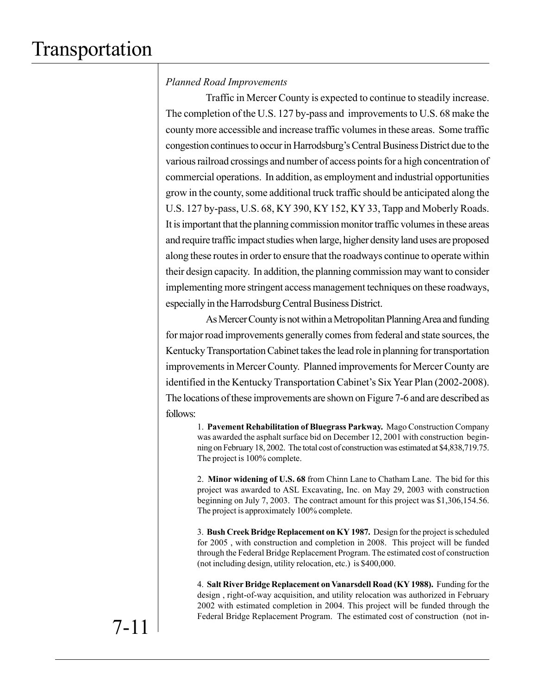### *Planned Road Improvements*

Traffic in Mercer County is expected to continue to steadily increase. The completion of the U.S. 127 by-pass and improvements to U.S. 68 make the county more accessible and increase traffic volumes in these areas. Some traffic congestion continues to occur in Harrodsburg's Central Business District due to the various railroad crossings and number of access points for a high concentration of commercial operations. In addition, as employment and industrial opportunities grow in the county, some additional truck traffic should be anticipated along the U.S. 127 by-pass, U.S. 68, KY 390, KY 152, KY 33, Tapp and Moberly Roads. It is important that the planning commission monitor traffic volumes in these areas and require traffic impact studies when large, higher density land uses are proposed along these routes in order to ensure that the roadways continue to operate within their design capacity. In addition, the planning commission may want to consider implementing more stringent access management techniques on these roadways, especially in the Harrodsburg Central Business District.

As Mercer County is not within a Metropolitan Planning Area and funding for major road improvements generally comes from federal and state sources, the Kentucky Transportation Cabinet takes the lead role in planning for transportation improvements in Mercer County. Planned improvements for Mercer County are identified in the Kentucky Transportation Cabinet's Six Year Plan (2002-2008). The locations of these improvements are shown on Figure 7-6 and are described as follows:

1. **Pavement Rehabilitation of Bluegrass Parkway.** Mago Construction Company was awarded the asphalt surface bid on December 12, 2001 with construction beginning on February 18, 2002. The total cost of construction was estimated at \$4,838,719.75. The project is 100% complete.

2. **Minor widening of U.S. 68** from Chinn Lane to Chatham Lane. The bid for this project was awarded to ASL Excavating, Inc. on May 29, 2003 with construction beginning on July 7, 2003. The contract amount for this project was \$1,306,154.56. The project is approximately 100% complete.

3. **Bush Creek Bridge Replacement on KY 1987.** Design for the project is scheduled for 2005 , with construction and completion in 2008. This project will be funded through the Federal Bridge Replacement Program. The estimated cost of construction (not including design, utility relocation, etc.) is \$400,000.

4. **Salt River Bridge Replacement on Vanarsdell Road (KY 1988).** Funding for the design , right-of-way acquisition, and utility relocation was authorized in February 2002 with estimated completion in 2004. This project will be funded through the Federal Bridge Replacement Program. The estimated cost of construction (not in-

7-11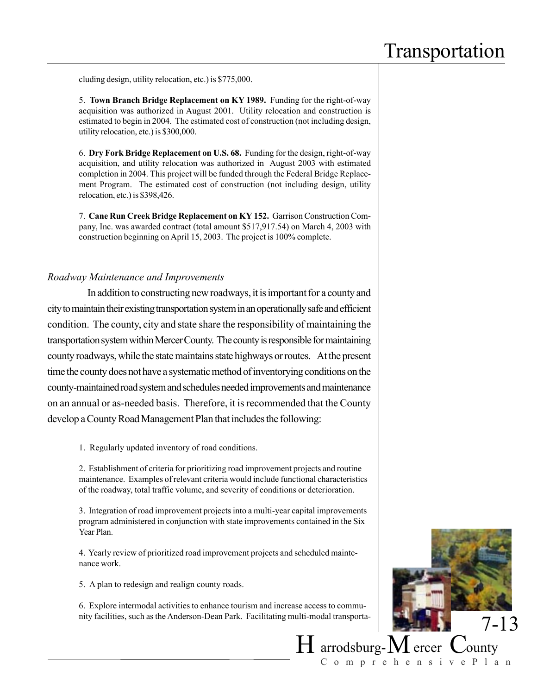cluding design, utility relocation, etc.) is \$775,000.

5. **Town Branch Bridge Replacement on KY 1989.** Funding for the right-of-way acquisition was authorized in August 2001. Utility relocation and construction is estimated to begin in 2004. The estimated cost of construction (not including design, utility relocation, etc.) is \$300,000.

6. **Dry Fork Bridge Replacement on U.S. 68.** Funding for the design, right-of-way acquisition, and utility relocation was authorized in August 2003 with estimated completion in 2004. This project will be funded through the Federal Bridge Replacement Program. The estimated cost of construction (not including design, utility relocation, etc.) is \$398,426.

7. **Cane Run Creek Bridge Replacement on KY 152.** Garrison Construction Company, Inc. was awarded contract (total amount \$517,917.54) on March 4, 2003 with construction beginning on April 15, 2003. The project is 100% complete.

#### *Roadway Maintenance and Improvements*

In addition to constructing new roadways, it is important for a county and city to maintain their existing transportation system in an operationally safe and efficient condition. The county, city and state share the responsibility of maintaining the transportation system within Mercer County. The county is responsible for maintaining county roadways, while the state maintains state highways or routes. At the present time the county does not have a systematic method of inventorying conditions on the county-maintained road system and schedules needed improvements and maintenance on an annual or as-needed basis. Therefore, it is recommended that the County develop a County Road Management Plan that includes the following:

1. Regularly updated inventory of road conditions.

2. Establishment of criteria for prioritizing road improvement projects and routine maintenance. Examples of relevant criteria would include functional characteristics of the roadway, total traffic volume, and severity of conditions or deterioration.

3. Integration of road improvement projects into a multi-year capital improvements program administered in conjunction with state improvements contained in the Six Year Plan.

4. Yearly review of prioritized road improvement projects and scheduled maintenance work.

5. A plan to redesign and realign county roads.

6. Explore intermodal activities to enhance tourism and increase access to community facilities, such as the Anderson-Dean Park. Facilitating multi-modal transporta-

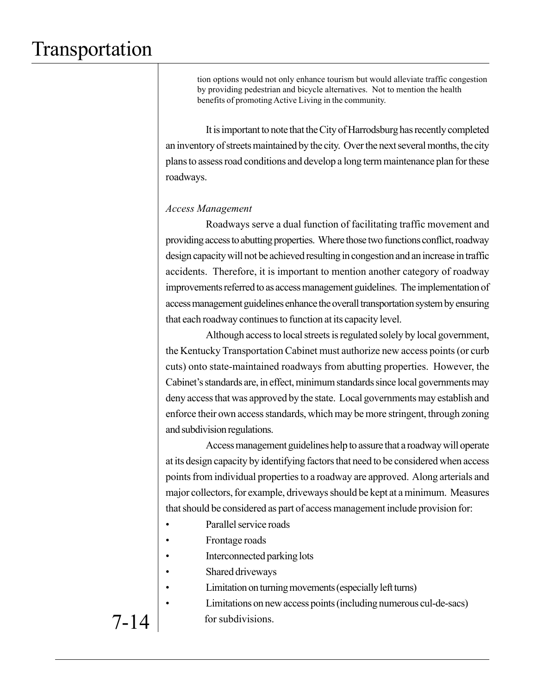tion options would not only enhance tourism but would alleviate traffic congestion by providing pedestrian and bicycle alternatives. Not to mention the health benefits of promoting Active Living in the community.

It is important to note that the City of Harrodsburg has recently completed an inventory of streets maintained by the city. Over the next several months, the city plans to assess road conditions and develop a long term maintenance plan for these roadways.

#### *Access Management*

Roadways serve a dual function of facilitating traffic movement and providing access to abutting properties. Where those two functions conflict, roadway design capacity will not be achieved resulting in congestion and an increase in traffic accidents. Therefore, it is important to mention another category of roadway improvements referred to as access management guidelines. The implementation of access management guidelines enhance the overall transportation system by ensuring that each roadway continues to function at its capacity level.

Although access to local streets is regulated solely by local government, the Kentucky Transportation Cabinet must authorize new access points (or curb cuts) onto state-maintained roadways from abutting properties. However, the Cabinet's standards are, in effect, minimum standards since local governments may deny access that was approved by the state. Local governments may establish and enforce their own access standards, which may be more stringent, through zoning and subdivision regulations.

Access management guidelines help to assure that a roadway will operate at its design capacity by identifying factors that need to be considered when access points from individual properties to a roadway are approved. Along arterials and major collectors, for example, driveways should be kept at a minimum. Measures that should be considered as part of access management include provision for:

- Parallel service roads
- Frontage roads
- Interconnected parking lots
- Shared driveways
- Limitation on turning movements (especially left turns)

• Limitations on new access points (including numerous cul-de-sacs) for subdivisions.

## 7-14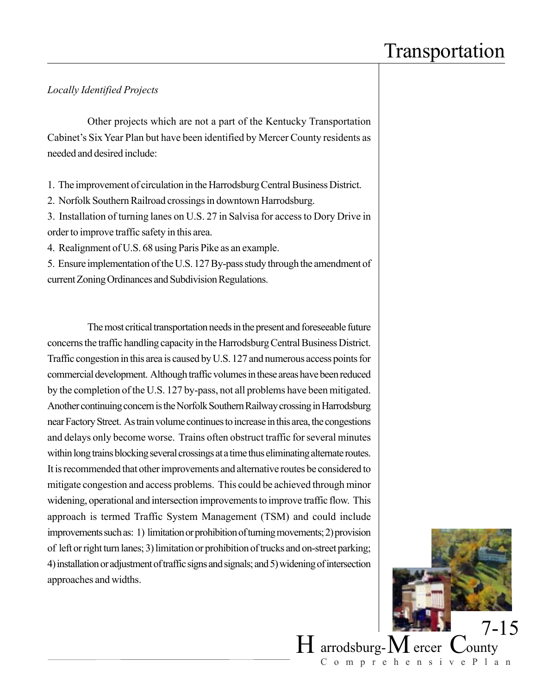#### *Locally Identified Projects*

Other projects which are not a part of the Kentucky Transportation Cabinet's Six Year Plan but have been identified by Mercer County residents as needed and desired include:

- 1. The improvement of circulation in the Harrodsburg Central Business District.
- 2. Norfolk Southern Railroad crossings in downtown Harrodsburg.

3. Installation of turning lanes on U.S. 27 in Salvisa for access to Dory Drive in order to improve traffic safety in this area.

4. Realignment of U.S. 68 using Paris Pike as an example.

5. Ensure implementation of the U.S. 127 By-pass study through the amendment of current Zoning Ordinances and Subdivision Regulations.

The most critical transportation needs in the present and foreseeable future concerns the traffic handling capacity in the Harrodsburg Central Business District. Traffic congestion in this area is caused by U.S. 127 and numerous access points for commercial development. Although traffic volumes in these areas have been reduced by the completion of the U.S. 127 by-pass, not all problems have been mitigated. Another continuing concern is the Norfolk Southern Railway crossing in Harrodsburg near Factory Street. As train volume continues to increase in this area, the congestions and delays only become worse. Trains often obstruct traffic for several minutes within long trains blocking several crossings at a time thus eliminating alternate routes. It is recommended that other improvements and alternative routes be considered to mitigate congestion and access problems. This could be achieved through minor widening, operational and intersection improvements to improve traffic flow. This approach is termed Traffic System Management (TSM) and could include improvements such as: 1) limitation or prohibition of turning movements; 2) provision of left or right turn lanes; 3) limitation or prohibition of trucks and on-street parking; 4) installation or adjustment of traffic signs and signals; and 5) widening of intersection approaches and widths.

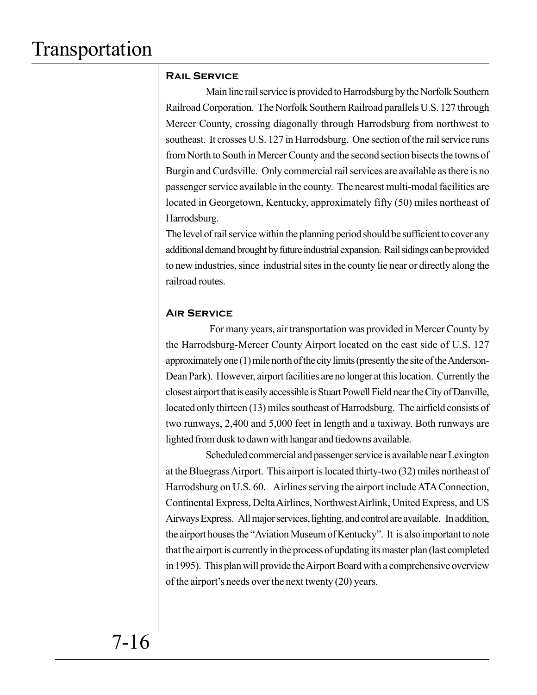### **Rail Service**

Main line rail service is provided to Harrodsburg by the Norfolk Southern Railroad Corporation. The Norfolk Southern Railroad parallels U.S. 127 through Mercer County, crossing diagonally through Harrodsburg from northwest to southeast. It crosses U.S. 127 in Harrodsburg. One section of the rail service runs from North to South in Mercer County and the second section bisects the towns of Burgin and Curdsville. Only commercial rail services are available as there is no passenger service available in the county. The nearest multi-modal facilities are located in Georgetown, Kentucky, approximately fifty (50) miles northeast of Harrodsburg.

The level of rail service within the planning period should be sufficient to cover any additional demand brought by future industrial expansion. Rail sidings can be provided to new industries, since industrial sites in the county lie near or directly along the railroad routes.

### **Air Service**

 For many years, air transportation was provided in Mercer County by the Harrodsburg-Mercer County Airport located on the east side of U.S. 127 approximately one (1) mile north of the city limits (presently the site of the Anderson-Dean Park). However, airport facilities are no longer at this location. Currently the closest airport that is easily accessible is Stuart Powell Field near the City of Danville, located only thirteen (13) miles southeast of Harrodsburg. The airfield consists of two runways, 2,400 and 5,000 feet in length and a taxiway. Both runways are lighted from dusk to dawn with hangar and tiedowns available.

Scheduled commercial and passenger service is available near Lexington at the Bluegrass Airport. This airport is located thirty-two (32) miles northeast of Harrodsburg on U.S. 60. Airlines serving the airport include ATA Connection, Continental Express, Delta Airlines, Northwest Airlink, United Express, and US Airways Express. All major services, lighting, and control are available. In addition, the airport houses the "Aviation Museum of Kentucky". It is also important to note that the airport is currently in the process of updating its master plan (last completed in 1995). This plan will provide the Airport Board with a comprehensive overview of the airport's needs over the next twenty (20) years.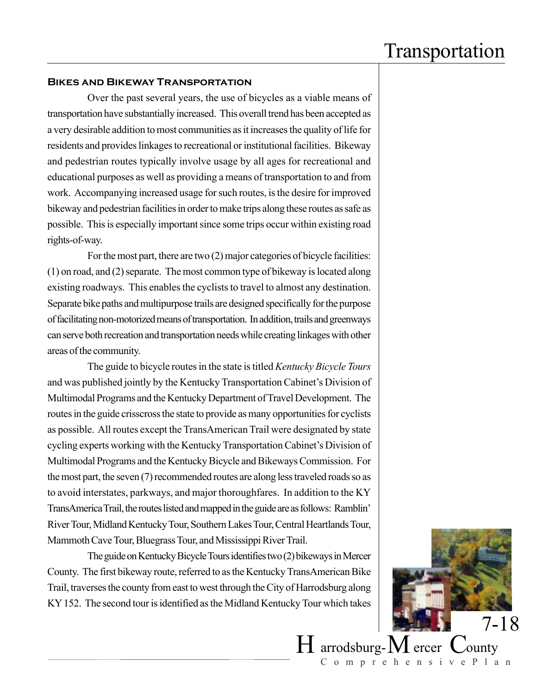#### **Bikes and Bikeway Transportation**

Over the past several years, the use of bicycles as a viable means of transportation have substantially increased. This overall trend has been accepted as a very desirable addition to most communities as it increases the quality of life for residents and provides linkages to recreational or institutional facilities. Bikeway and pedestrian routes typically involve usage by all ages for recreational and educational purposes as well as providing a means of transportation to and from work. Accompanying increased usage for such routes, is the desire for improved bikeway and pedestrian facilities in order to make trips along these routes as safe as possible. This is especially important since some trips occur within existing road rights-of-way.

For the most part, there are two (2) major categories of bicycle facilities: (1) on road, and (2) separate. The most common type of bikeway is located along existing roadways. This enables the cyclists to travel to almost any destination. Separate bike paths and multipurpose trails are designed specifically for the purpose of facilitating non-motorized means of transportation. In addition, trails and greenways can serve both recreation and transportation needs while creating linkages with other areas of the community.

The guide to bicycle routes in the state is titled *Kentucky Bicycle Tours* and was published jointly by the Kentucky Transportation Cabinet's Division of Multimodal Programs and the Kentucky Department of Travel Development. The routes in the guide crisscross the state to provide as many opportunities for cyclists as possible. All routes except the TransAmerican Trail were designated by state cycling experts working with the Kentucky Transportation Cabinet's Division of Multimodal Programs and the Kentucky Bicycle and Bikeways Commission. For the most part, the seven (7) recommended routes are along less traveled roads so as to avoid interstates, parkways, and major thoroughfares. In addition to the KY TransAmerica Trail, the routes listed and mapped in the guide are as follows: Ramblin' River Tour, Midland Kentucky Tour, Southern Lakes Tour, Central Heartlands Tour, Mammoth Cave Tour, Bluegrass Tour, and Mississippi River Trail.

The guide on Kentucky Bicycle Tours identifies two (2) bikeways in Mercer County. The first bikeway route, referred to as the Kentucky TransAmerican Bike Trail, traverses the county from east to west through the City of Harrodsburg along KY 152. The second tour is identified as the Midland Kentucky Tour which takes

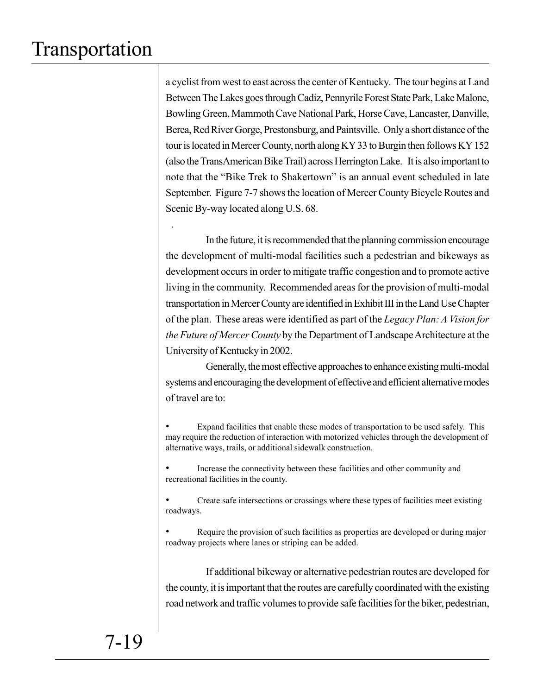.

a cyclist from west to east across the center of Kentucky. The tour begins at Land Between The Lakes goes through Cadiz, Pennyrile Forest State Park, Lake Malone, Bowling Green, Mammoth Cave National Park, Horse Cave, Lancaster, Danville, Berea, Red River Gorge, Prestonsburg, and Paintsville. Only a short distance of the tour is located in Mercer County, north along KY 33 to Burgin then follows KY 152 (also the TransAmerican Bike Trail) across Herrington Lake. It is also important to note that the "Bike Trek to Shakertown" is an annual event scheduled in late September. Figure 7-7 shows the location of Mercer County Bicycle Routes and Scenic By-way located along U.S. 68.

In the future, it is recommended that the planning commission encourage the development of multi-modal facilities such a pedestrian and bikeways as development occurs in order to mitigate traffic congestion and to promote active living in the community. Recommended areas for the provision of multi-modal transportation in Mercer County are identified in Exhibit III in the Land Use Chapter of the plan. These areas were identified as part of the *Legacy Plan: A Vision for the Future of Mercer County* by the Department of Landscape Architecture at the University of Kentucky in 2002.

Generally, the most effective approaches to enhance existing multi-modal systems and encouraging the development of effective and efficient alternative modes of travel are to:

Expand facilities that enable these modes of transportation to be used safely. This may require the reduction of interaction with motorized vehicles through the development of alternative ways, trails, or additional sidewalk construction.

• Increase the connectivity between these facilities and other community and recreational facilities in the county.

• Create safe intersections or crossings where these types of facilities meet existing roadways.

• Require the provision of such facilities as properties are developed or during major roadway projects where lanes or striping can be added.

If additional bikeway or alternative pedestrian routes are developed for the county, it is important that the routes are carefully coordinated with the existing road network and traffic volumes to provide safe facilities for the biker, pedestrian,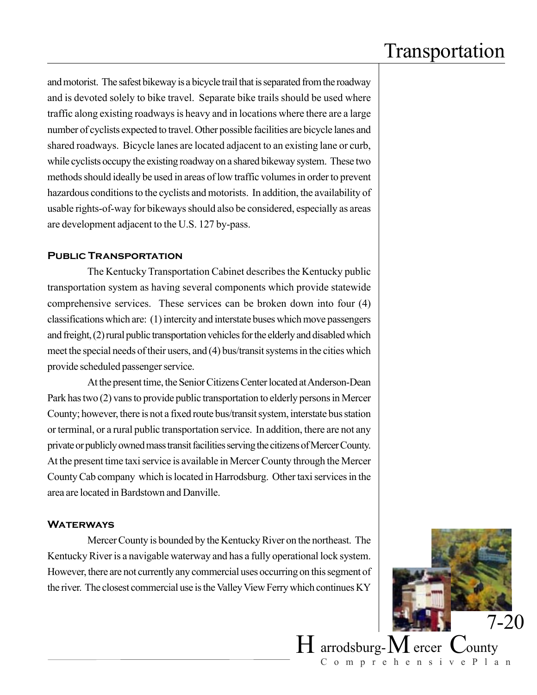and motorist. The safest bikeway is a bicycle trail that is separated from the roadway and is devoted solely to bike travel. Separate bike trails should be used where traffic along existing roadways is heavy and in locations where there are a large number of cyclists expected to travel. Other possible facilities are bicycle lanes and shared roadways. Bicycle lanes are located adjacent to an existing lane or curb, while cyclists occupy the existing roadway on a shared bikeway system. These two methods should ideally be used in areas of low traffic volumes in order to prevent hazardous conditions to the cyclists and motorists. In addition, the availability of usable rights-of-way for bikeways should also be considered, especially as areas are development adjacent to the U.S. 127 by-pass.

#### **Public Transportation**

The Kentucky Transportation Cabinet describes the Kentucky public transportation system as having several components which provide statewide comprehensive services. These services can be broken down into four (4) classifications which are: (1) intercity and interstate buses which move passengers and freight, (2) rural public transportation vehicles for the elderly and disabled which meet the special needs of their users, and (4) bus/transit systems in the cities which provide scheduled passenger service.

At the present time, the Senior Citizens Center located at Anderson-Dean Park has two (2) vans to provide public transportation to elderly persons in Mercer County; however, there is not a fixed route bus/transit system, interstate bus station or terminal, or a rural public transportation service. In addition, there are not any private or publicly owned mass transit facilities serving the citizens of Mercer County. At the present time taxi service is available in Mercer County through the Mercer County Cab company which is located in Harrodsburg. Other taxi services in the area are located in Bardstown and Danville.

#### **WATERWAYS**

Mercer County is bounded by the Kentucky River on the northeast. The Kentucky River is a navigable waterway and has a fully operational lock system. However, there are not currently any commercial uses occurring on this segment of the river. The closest commercial use is the Valley View Ferry which continues KY



 $H$  arrodsburg- $M$  ercer ComprehensivePlan